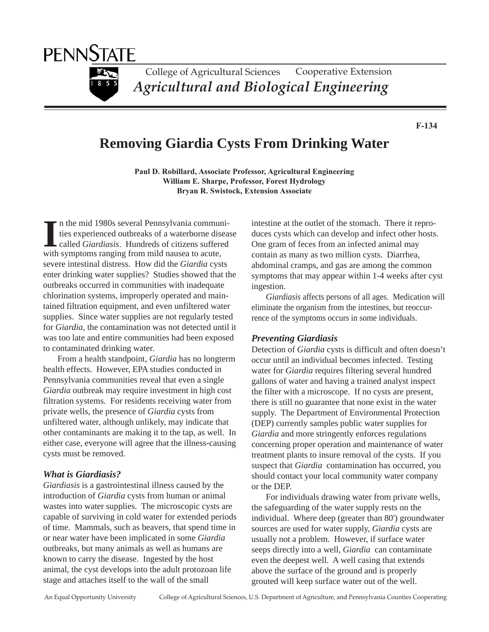

**F-134**

# **Removing Giardia Cysts From Drinking Water**

**Paul D. Robillard, Associate Professor, Agricultural Engineering William E. Sharpe, Professor, Forest Hydrology Bryan R. Swistock, Extension Associate**

In the mid 1980s several Pennsylvania communities experienced outbreaks of a waterborne discalled *Giardiasis*. Hundreds of citizens suffer with symptoms ranging from mild nausea to acute, n the mid 1980s several Pennsylvania communities experienced outbreaks of a waterborne disease called *Giardiasis*. Hundreds of citizens suffered severe intestinal distress. How did the *Giardia* cysts enter drinking water supplies? Studies showed that the outbreaks occurred in communities with inadequate chlorination systems, improperly operated and maintained filtration equipment, and even unfiltered water supplies. Since water supplies are not regularly tested for *Giardia*, the contamination was not detected until it was too late and entire communities had been exposed to contaminated drinking water.

From a health standpoint, *Giardia* has no longterm health effects. However, EPA studies conducted in Pennsylvania communities reveal that even a single *Giardia* outbreak may require investment in high cost filtration systems. For residents receiving water from private wells, the presence of *Giardia* cysts from unfiltered water, although unlikely, may indicate that other contaminants are making it to the tap, as well. In either case, everyone will agree that the illness-causing cysts must be removed.

#### *What is Giardiasis?*

*Giardiasis* is a gastrointestinal illness caused by the introduction of *Giardia* cysts from human or animal wastes into water supplies. The microscopic cysts are capable of surviving in cold water for extended periods of time. Mammals, such as beavers, that spend time in or near water have been implicated in some *Giardia* outbreaks, but many animals as well as humans are known to carry the disease. Ingested by the host animal, the cyst develops into the adult protozoan life stage and attaches itself to the wall of the small

intestine at the outlet of the stomach. There it reproduces cysts which can develop and infect other hosts. One gram of feces from an infected animal may contain as many as two million cysts. Diarrhea, abdominal cramps, and gas are among the common symptoms that may appear within 1-4 weeks after cyst ingestion.

*Giardiasis* affects persons of all ages. Medication will eliminate the organism from the intestines, but reoccurrence of the symptoms occurs in some individuals.

#### *Preventing Giardiasis*

Detection of *Giardia* cysts is difficult and often doesn't occur until an individual becomes infected. Testing water for *Giardia* requires filtering several hundred gallons of water and having a trained analyst inspect the filter with a microscope. If no cysts are present, there is still no guarantee that none exist in the water supply. The Department of Environmental Protection (DEP) currently samples public water supplies for *Giardia* and more stringently enforces regulations concerning proper operation and maintenance of water treatment plants to insure removal of the cysts. If you suspect that *Giardia* contamination has occurred, you should contact your local community water company or the DEP.

For individuals drawing water from private wells, the safeguarding of the water supply rests on the individual. Where deep (greater than 80') groundwater sources are used for water supply, *Giardia* cysts are usually not a problem. However, if surface water seeps directly into a well, *Giardia* can contaminate even the deepest well. A well casing that extends above the surface of the ground and is properly grouted will keep surface water out of the well.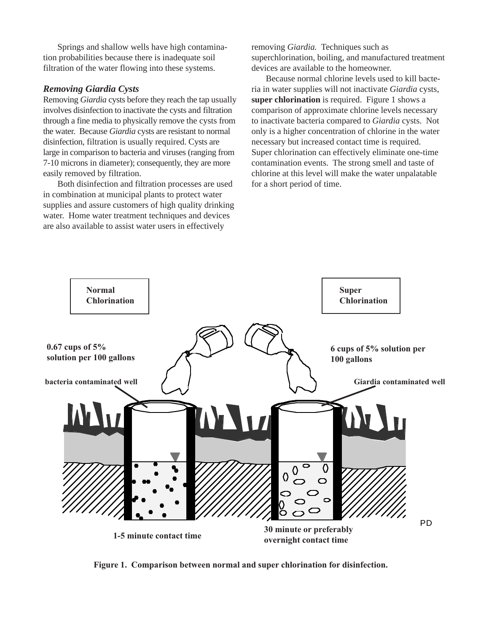Springs and shallow wells have high contamination probabilities because there is inadequate soil filtration of the water flowing into these systems.

### *Removing Giardia Cysts*

Removing *Giardia* cysts before they reach the tap usually involves disinfection to inactivate the cysts and filtration through a fine media to physically remove the cysts from the water. Because *Giardia* cysts are resistant to normal disinfection, filtration is usually required. Cysts are large in comparison to bacteria and viruses (ranging from 7-10 microns in diameter); consequently, they are more easily removed by filtration.

Both disinfection and filtration processes are used in combination at municipal plants to protect water supplies and assure customers of high quality drinking water. Home water treatment techniques and devices are also available to assist water users in effectively

removing *Giardia.* Techniques such as superchlorination, boiling, and manufactured treatment devices are available to the homeowner.

Because normal chlorine levels used to kill bacteria in water supplies will not inactivate *Giardia* cysts, **super chlorination** is required. Figure 1 shows a comparison of approximate chlorine levels necessary to inactivate bacteria compared to *Giardia* cysts. Not only is a higher concentration of chlorine in the water necessary but increased contact time is required. Super chlorination can effectively eliminate one-time contamination events. The strong smell and taste of chlorine at this level will make the water unpalatable for a short period of time.



**Figure 1. Comparison between normal and super chlorination for disinfection.**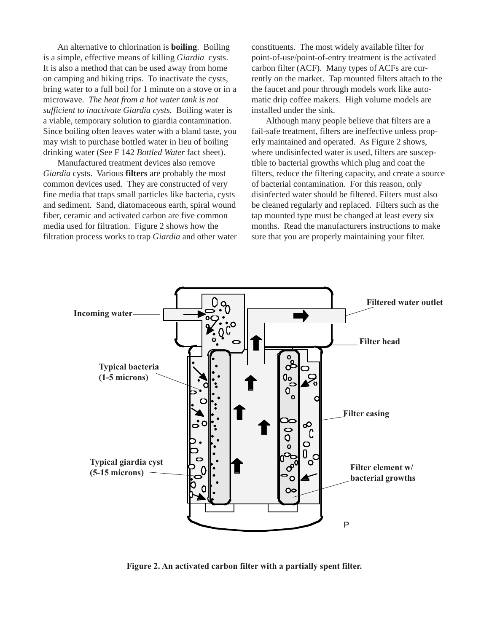An alternative to chlorination is **boiling**. Boiling is a simple, effective means of killing *Giardia* cysts. It is also a method that can be used away from home on camping and hiking trips. To inactivate the cysts, bring water to a full boil for 1 minute on a stove or in a microwave. *The heat from a hot water tank is not sufficient to inactivate Giardia cysts.* Boiling water is a viable, temporary solution to giardia contamination. Since boiling often leaves water with a bland taste, you may wish to purchase bottled water in lieu of boiling drinking water (See F 142 *Bottled Water* fact sheet).

Manufactured treatment devices also remove *Giardia* cysts. Various **filters** are probably the most common devices used. They are constructed of very fine media that traps small particles like bacteria, cysts and sediment. Sand, diatomaceous earth, spiral wound fiber, ceramic and activated carbon are five common media used for filtration. Figure 2 shows how the filtration process works to trap *Giardia* and other water constituents. The most widely available filter for point-of-use/point-of-entry treatment is the activated carbon filter (ACF). Many types of ACFs are currently on the market. Tap mounted filters attach to the the faucet and pour through models work like automatic drip coffee makers. High volume models are installed under the sink.

Although many people believe that filters are a fail-safe treatment, filters are ineffective unless properly maintained and operated. As Figure 2 shows, where undisinfected water is used, filters are susceptible to bacterial growths which plug and coat the filters, reduce the filtering capacity, and create a source of bacterial contamination. For this reason, only disinfected water should be filtered. Filters must also be cleaned regularly and replaced. Filters such as the tap mounted type must be changed at least every six months. Read the manufacturers instructions to make sure that you are properly maintaining your filter.



**Figure 2. An activated carbon filter with a partially spent filter.**